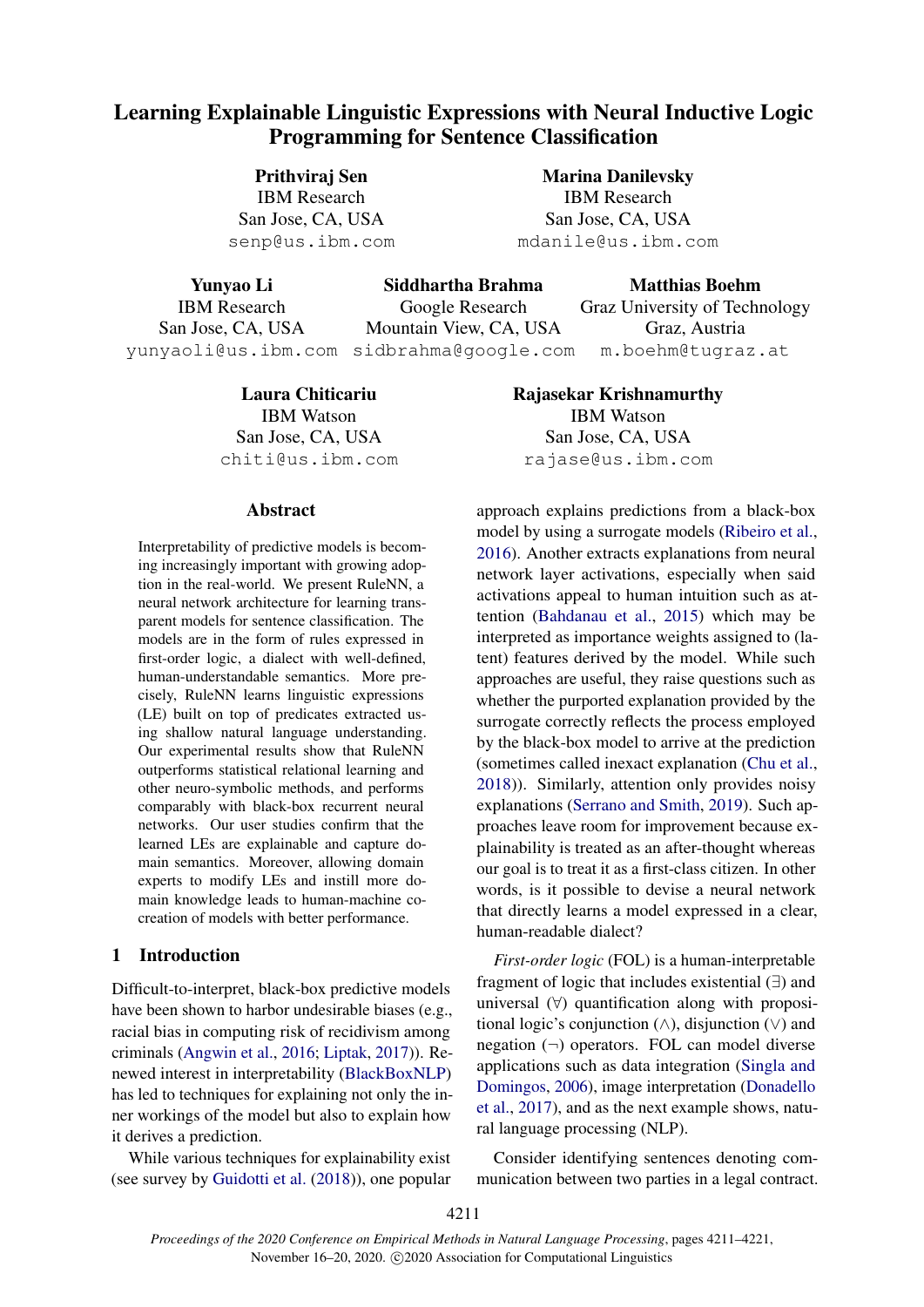# Learning Explainable Linguistic Expressions with Neural Inductive Logic Programming for Sentence Classification

Prithviraj Sen IBM Research San Jose, CA, USA senp@us.ibm.com

Marina Danilevsky IBM Research San Jose, CA, USA mdanile@us.ibm.com

Yunyao Li IBM Research San Jose, CA, USA yunyaoli@us.ibm.com sidbrahma@google.com Siddhartha Brahma Google Research Mountain View, CA, USA Matthias Boehm Graz University of Technology Graz, Austria m.boehm@tugraz.at

> Laura Chiticariu IBM Watson San Jose, CA, USA chiti@us.ibm.com

### Abstract

Interpretability of predictive models is becoming increasingly important with growing adoption in the real-world. We present RuleNN, a neural network architecture for learning transparent models for sentence classification. The models are in the form of rules expressed in first-order logic, a dialect with well-defined, human-understandable semantics. More precisely, RuleNN learns linguistic expressions (LE) built on top of predicates extracted using shallow natural language understanding. Our experimental results show that RuleNN outperforms statistical relational learning and other neuro-symbolic methods, and performs comparably with black-box recurrent neural networks. Our user studies confirm that the learned LEs are explainable and capture domain semantics. Moreover, allowing domain experts to modify LEs and instill more domain knowledge leads to human-machine cocreation of models with better performance.

# 1 Introduction

Difficult-to-interpret, black-box predictive models have been shown to harbor undesirable biases (e.g., racial bias in computing risk of recidivism among criminals [\(Angwin et al.,](#page-9-0) [2016;](#page-9-0) [Liptak,](#page-10-0) [2017\)](#page-10-0)). Renewed interest in interpretability [\(BlackBoxNLP\)](#page-9-1) has led to techniques for explaining not only the inner workings of the model but also to explain how it derives a prediction.

While various techniques for explainability exist (see survey by [Guidotti et al.](#page-9-2) [\(2018\)](#page-9-2)), one popular Rajasekar Krishnamurthy IBM Watson San Jose, CA, USA rajase@us.ibm.com

approach explains predictions from a black-box model by using a surrogate models [\(Ribeiro et al.,](#page-10-1) [2016\)](#page-10-1). Another extracts explanations from neural network layer activations, especially when said activations appeal to human intuition such as attention [\(Bahdanau et al.,](#page-9-3) [2015\)](#page-9-3) which may be interpreted as importance weights assigned to (latent) features derived by the model. While such approaches are useful, they raise questions such as whether the purported explanation provided by the surrogate correctly reflects the process employed by the black-box model to arrive at the prediction (sometimes called inexact explanation [\(Chu et al.,](#page-9-4) [2018\)](#page-9-4)). Similarly, attention only provides noisy explanations [\(Serrano and Smith,](#page-10-2) [2019\)](#page-10-2). Such approaches leave room for improvement because explainability is treated as an after-thought whereas our goal is to treat it as a first-class citizen. In other words, is it possible to devise a neural network that directly learns a model expressed in a clear, human-readable dialect?

*First-order logic* (FOL) is a human-interpretable fragment of logic that includes existential (∃) and universal  $(\forall)$  quantification along with propositional logic's conjunction  $($  $\wedge$ ), disjunction  $($  $\vee$ ) and negation  $(\neg)$  operators. FOL can model diverse applications such as data integration [\(Singla and](#page-10-3) [Domingos,](#page-10-3) [2006\)](#page-10-3), image interpretation [\(Donadello](#page-9-5) [et al.,](#page-9-5) [2017\)](#page-9-5), and as the next example shows, natural language processing (NLP).

Consider identifying sentences denoting communication between two parties in a legal contract.

4211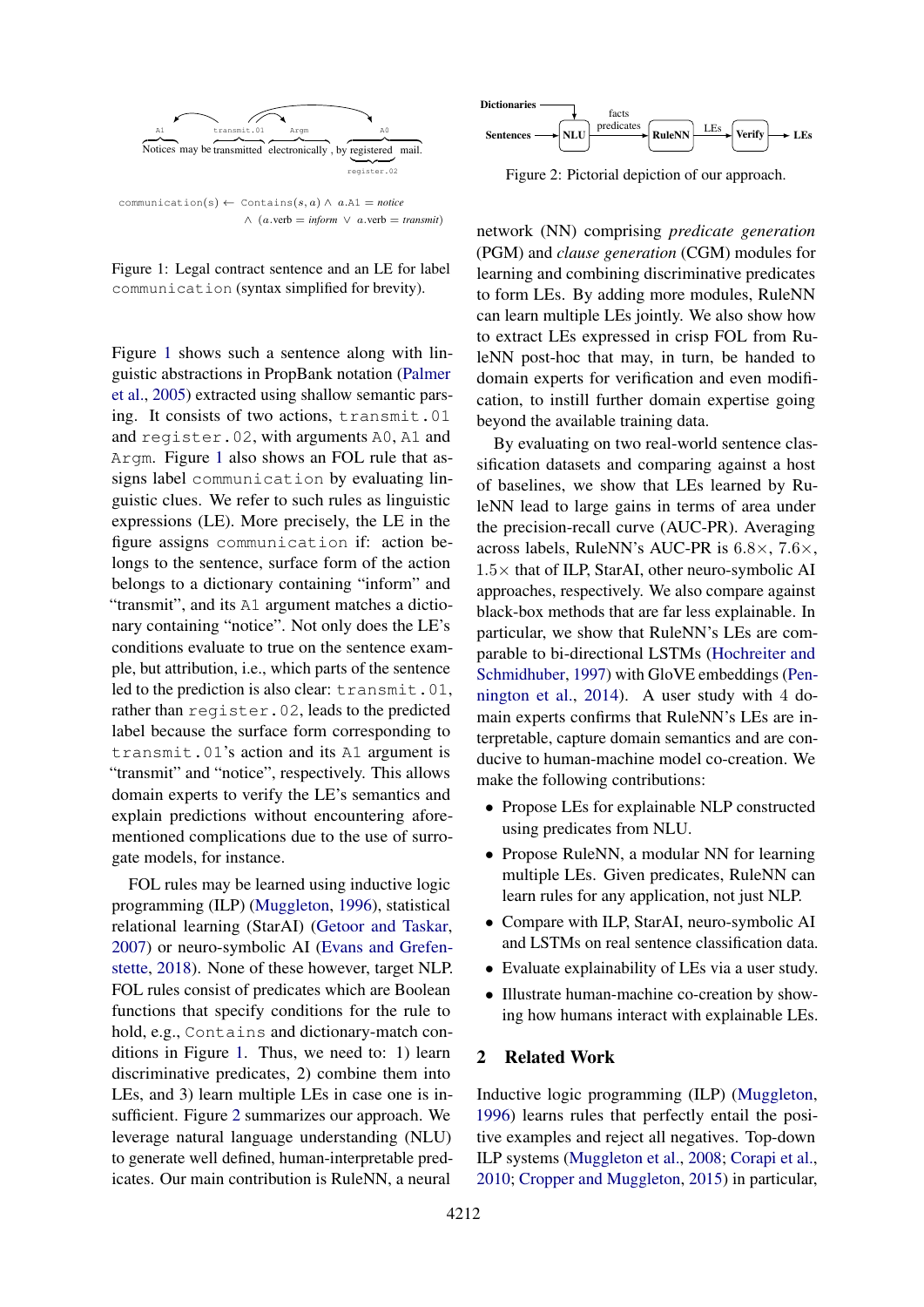<span id="page-1-0"></span>

Figure 1: Legal contract sentence and an LE for label communication (syntax simplified for brevity).

Figure [1](#page-1-0) shows such a sentence along with linguistic abstractions in PropBank notation [\(Palmer](#page-10-4) [et al.,](#page-10-4) [2005\)](#page-10-4) extracted using shallow semantic parsing. It consists of two actions, transmit.01 and register.02, with arguments A0, A1 and Argm. Figure [1](#page-1-0) also shows an FOL rule that assigns label communication by evaluating linguistic clues. We refer to such rules as linguistic expressions (LE). More precisely, the LE in the figure assigns communication if: action belongs to the sentence, surface form of the action belongs to a dictionary containing "inform" and "transmit", and its A1 argument matches a dictionary containing "notice". Not only does the LE's conditions evaluate to true on the sentence example, but attribution, i.e., which parts of the sentence led to the prediction is also clear: transmit.01, rather than register.02, leads to the predicted label because the surface form corresponding to transmit.01's action and its A1 argument is "transmit" and "notice", respectively. This allows domain experts to verify the LE's semantics and explain predictions without encountering aforementioned complications due to the use of surrogate models, for instance.

FOL rules may be learned using inductive logic programming (ILP) [\(Muggleton,](#page-10-5) [1996\)](#page-10-5), statistical relational learning (StarAI) [\(Getoor and Taskar,](#page-9-6) [2007\)](#page-9-6) or neuro-symbolic AI [\(Evans and Grefen](#page-9-7)[stette,](#page-9-7) [2018\)](#page-9-7). None of these however, target NLP. FOL rules consist of predicates which are Boolean functions that specify conditions for the rule to hold, e.g., Contains and dictionary-match conditions in Figure [1.](#page-1-0) Thus, we need to: 1) learn discriminative predicates, 2) combine them into LEs, and 3) learn multiple LEs in case one is insufficient. Figure [2](#page-1-1) summarizes our approach. We leverage natural language understanding (NLU) to generate well defined, human-interpretable predicates. Our main contribution is RuleNN, a neural

<span id="page-1-1"></span>

Figure 2: Pictorial depiction of our approach.

network (NN) comprising *predicate generation* (PGM) and *clause generation* (CGM) modules for learning and combining discriminative predicates to form LEs. By adding more modules, RuleNN can learn multiple LEs jointly. We also show how to extract LEs expressed in crisp FOL from RuleNN post-hoc that may, in turn, be handed to domain experts for verification and even modification, to instill further domain expertise going beyond the available training data.

By evaluating on two real-world sentence classification datasets and comparing against a host of baselines, we show that LEs learned by RuleNN lead to large gains in terms of area under the precision-recall curve (AUC-PR). Averaging across labels, RuleNN's AUC-PR is  $6.8 \times$ ,  $7.6 \times$ ,  $1.5\times$  that of ILP, StarAI, other neuro-symbolic AI approaches, respectively. We also compare against black-box methods that are far less explainable. In particular, we show that RuleNN's LEs are comparable to bi-directional LSTMs [\(Hochreiter and](#page-9-8) [Schmidhuber,](#page-9-8) [1997\)](#page-9-8) with GloVE embeddings [\(Pen](#page-10-6)[nington et al.,](#page-10-6) [2014\)](#page-10-6). A user study with 4 domain experts confirms that RuleNN's LEs are interpretable, capture domain semantics and are conducive to human-machine model co-creation. We make the following contributions:

- Propose LEs for explainable NLP constructed using predicates from NLU.
- Propose RuleNN, a modular NN for learning multiple LEs. Given predicates, RuleNN can learn rules for any application, not just NLP.
- Compare with ILP, StarAI, neuro-symbolic AI and LSTMs on real sentence classification data.
- Evaluate explainability of LEs via a user study.
- Illustrate human-machine co-creation by showing how humans interact with explainable LEs.

### <span id="page-1-2"></span>2 Related Work

Inductive logic programming (ILP) [\(Muggleton,](#page-10-5) [1996\)](#page-10-5) learns rules that perfectly entail the positive examples and reject all negatives. Top-down ILP systems [\(Muggleton et al.,](#page-10-7) [2008;](#page-10-7) [Corapi et al.,](#page-9-9) [2010;](#page-9-9) [Cropper and Muggleton,](#page-9-10) [2015\)](#page-9-10) in particular,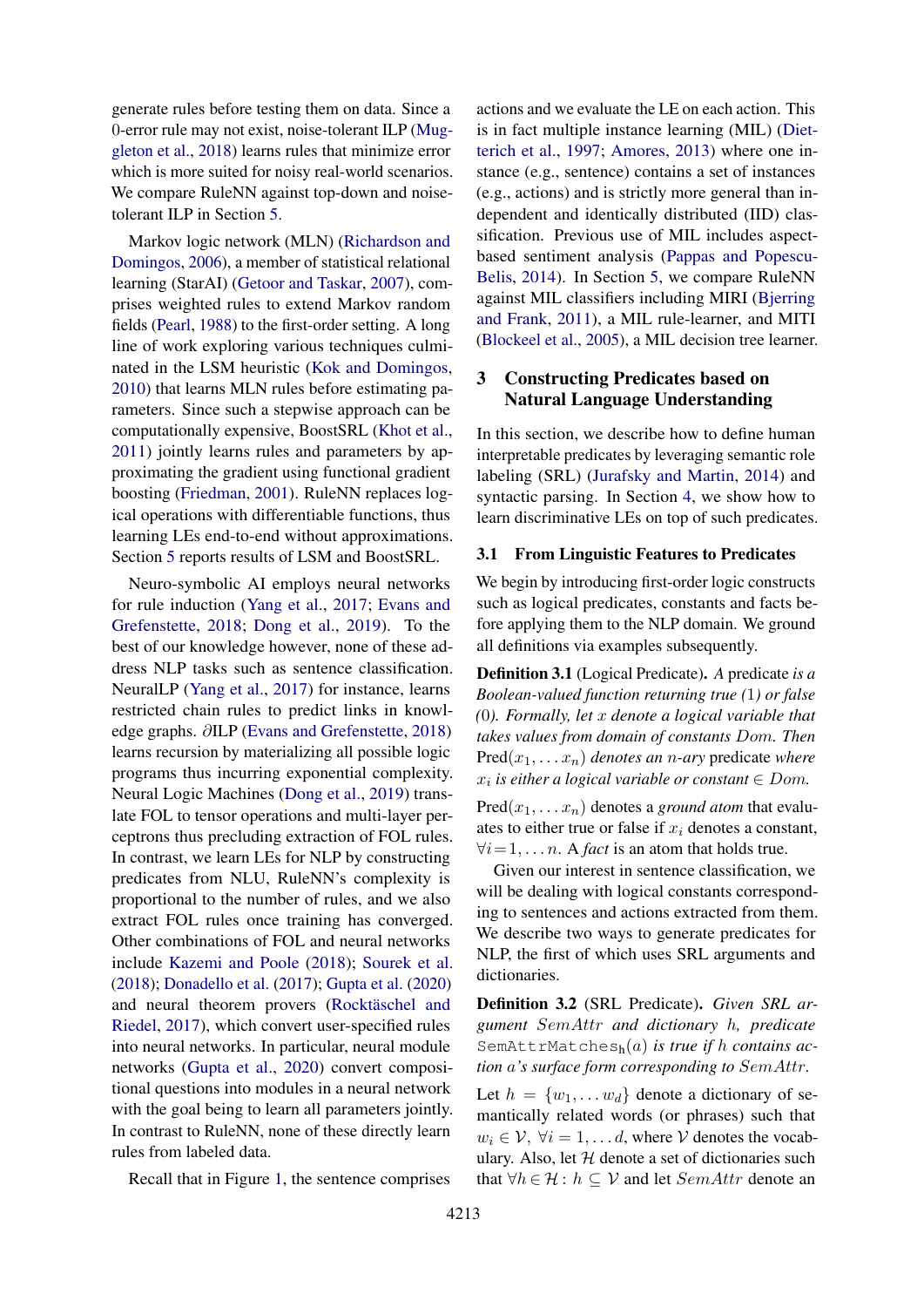generate rules before testing them on data. Since a 0-error rule may not exist, noise-tolerant ILP [\(Mug](#page-10-8)[gleton et al.,](#page-10-8) [2018\)](#page-10-8) learns rules that minimize error which is more suited for noisy real-world scenarios. We compare RuleNN against top-down and noisetolerant ILP in Section [5.](#page-5-0)

Markov logic network (MLN) [\(Richardson and](#page-10-9) [Domingos,](#page-10-9) [2006\)](#page-10-9), a member of statistical relational learning (StarAI) [\(Getoor and Taskar,](#page-9-6) [2007\)](#page-9-6), comprises weighted rules to extend Markov random fields [\(Pearl,](#page-10-10) [1988\)](#page-10-10) to the first-order setting. A long line of work exploring various techniques culminated in the LSM heuristic [\(Kok and Domingos,](#page-9-11) [2010\)](#page-9-11) that learns MLN rules before estimating parameters. Since such a stepwise approach can be computationally expensive, BoostSRL [\(Khot et al.,](#page-9-12) [2011\)](#page-9-12) jointly learns rules and parameters by approximating the gradient using functional gradient boosting [\(Friedman,](#page-9-13) [2001\)](#page-9-13). RuleNN replaces logical operations with differentiable functions, thus learning LEs end-to-end without approximations. Section [5](#page-5-0) reports results of LSM and BoostSRL.

Neuro-symbolic AI employs neural networks for rule induction [\(Yang et al.,](#page-10-11) [2017;](#page-10-11) [Evans and](#page-9-7) [Grefenstette,](#page-9-7) [2018;](#page-9-7) [Dong et al.,](#page-9-14) [2019\)](#page-9-14). To the best of our knowledge however, none of these address NLP tasks such as sentence classification. NeuralLP [\(Yang et al.,](#page-10-11) [2017\)](#page-10-11) for instance, learns restricted chain rules to predict links in knowledge graphs. ∂ILP [\(Evans and Grefenstette,](#page-9-7) [2018\)](#page-9-7) learns recursion by materializing all possible logic programs thus incurring exponential complexity. Neural Logic Machines [\(Dong et al.,](#page-9-14) [2019\)](#page-9-14) translate FOL to tensor operations and multi-layer perceptrons thus precluding extraction of FOL rules. In contrast, we learn LEs for NLP by constructing predicates from NLU, RuleNN's complexity is proportional to the number of rules, and we also extract FOL rules once training has converged. Other combinations of FOL and neural networks include [Kazemi and Poole](#page-9-15) [\(2018\)](#page-9-15); [Sourek et al.](#page-10-12) [\(2018\)](#page-10-12); [Donadello et al.](#page-9-5) [\(2017\)](#page-9-5); [Gupta et al.](#page-9-16) [\(2020\)](#page-9-16) and neural theorem provers (Rocktäschel and [Riedel,](#page-10-13) [2017\)](#page-10-13), which convert user-specified rules into neural networks. In particular, neural module networks [\(Gupta et al.,](#page-9-16) [2020\)](#page-9-16) convert compositional questions into modules in a neural network with the goal being to learn all parameters jointly. In contrast to RuleNN, none of these directly learn rules from labeled data.

Recall that in Figure [1,](#page-1-0) the sentence comprises

actions and we evaluate the LE on each action. This is in fact multiple instance learning (MIL) [\(Diet](#page-9-17)[terich et al.,](#page-9-17) [1997;](#page-9-17) [Amores,](#page-9-18) [2013\)](#page-9-18) where one instance (e.g., sentence) contains a set of instances (e.g., actions) and is strictly more general than independent and identically distributed (IID) classification. Previous use of MIL includes aspectbased sentiment analysis [\(Pappas and Popescu-](#page-10-14)[Belis,](#page-10-14) [2014\)](#page-10-14). In Section [5,](#page-5-0) we compare RuleNN against MIL classifiers including MIRI [\(Bjerring](#page-9-19) [and Frank,](#page-9-19) [2011\)](#page-9-19), a MIL rule-learner, and MITI [\(Blockeel et al.,](#page-9-20) [2005\)](#page-9-20), a MIL decision tree learner.

# <span id="page-2-2"></span>3 Constructing Predicates based on Natural Language Understanding

In this section, we describe how to define human interpretable predicates by leveraging semantic role labeling (SRL) [\(Jurafsky and Martin,](#page-9-21) [2014\)](#page-9-21) and syntactic parsing. In Section [4,](#page-4-0) we show how to learn discriminative LEs on top of such predicates.

# 3.1 From Linguistic Features to Predicates

We begin by introducing first-order logic constructs such as logical predicates, constants and facts before applying them to the NLP domain. We ground all definitions via examples subsequently.

<span id="page-2-1"></span>Definition 3.1 (Logical Predicate). *A* predicate *is a Boolean-valued function returning true (*1*) or false (*0*). Formally, let* x *denote a logical variable that takes values from domain of constants* Dom*. Then*  $Pred(x_1, \ldots, x_n)$  *denotes an n-ary* predicate *where*  $x_i$  *is either a logical variable or constant*  $\in$  *Dom.* 

 $Pred(x_1, \ldots, x_n)$  denotes a *ground atom* that evaluates to either true or false if  $x_i$  denotes a constant,  $\forall i = 1, \dots n$ . A *fact* is an atom that holds true.

Given our interest in sentence classification, we will be dealing with logical constants corresponding to sentences and actions extracted from them. We describe two ways to generate predicates for NLP, the first of which uses SRL arguments and dictionaries.

<span id="page-2-0"></span>Definition 3.2 (SRL Predicate). *Given SRL argument* SemAttr *and dictionary* h*, predicate* SemAttrMatchesh(a) *is true if* h *contains action* a*'s surface form corresponding to* SemAttr*.*

Let  $h = \{w_1, \ldots w_d\}$  denote a dictionary of semantically related words (or phrases) such that  $w_i \in \mathcal{V}, \ \forall i = 1, \dots d$ , where  $\mathcal V$  denotes the vocabulary. Also, let  $H$  denote a set of dictionaries such that  $\forall h \in \mathcal{H} : h \subseteq \mathcal{V}$  and let *SemAttr* denote an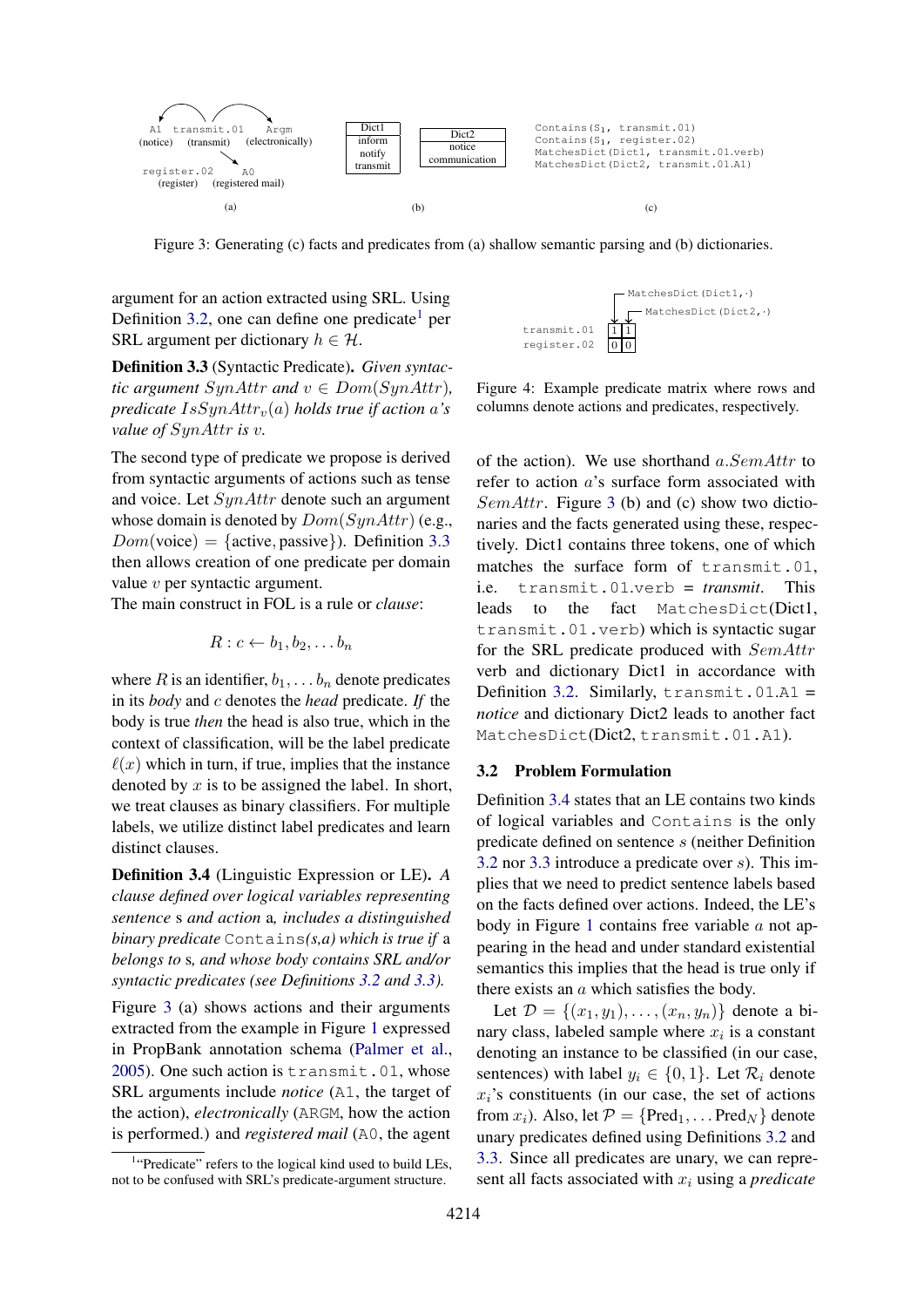<span id="page-3-2"></span>

Figure 3: Generating (c) facts and predicates from (a) shallow semantic parsing and (b) dictionaries.

argument for an action extracted using SRL. Using Definition [3.2,](#page-2-0) one can define one predicate<sup>[1](#page-3-0)</sup> per SRL argument per dictionary  $h \in \mathcal{H}$ .

<span id="page-3-1"></span>Definition 3.3 (Syntactic Predicate). *Given syntactic argument*  $SynAttr$  *and*  $v \in Dom(SynAttr)$ *, predicate*  $IsSynAttr_v(a)$  *holds true if action a's value of* SynAttr *is* v*.*

The second type of predicate we propose is derived from syntactic arguments of actions such as tense and voice. Let  $SynAttr$  denote such an argument whose domain is denoted by  $Dom(SynAttr)$  (e.g.,  $Dom(voice) = {active, passive}$ ). Definition [3.3](#page-3-1) then allows creation of one predicate per domain value v per syntactic argument.

The main construct in FOL is a rule or *clause*:

$$
R: c \leftarrow b_1, b_2, \ldots b_n
$$

where R is an identifier,  $b_1, \ldots, b_n$  denote predicates in its *body* and c denotes the *head* predicate. *If* the body is true *then* the head is also true, which in the context of classification, will be the label predicate  $\ell(x)$  which in turn, if true, implies that the instance denoted by  $x$  is to be assigned the label. In short, we treat clauses as binary classifiers. For multiple labels, we utilize distinct label predicates and learn distinct clauses.

<span id="page-3-3"></span>Definition 3.4 (Linguistic Expression or LE). *A clause defined over logical variables representing sentence* s *and action* a*, includes a distinguished binary predicate* Contains*(s,a) which is true if* a *belongs to* s*, and whose body contains SRL and/or syntactic predicates (see Definitions [3.2](#page-2-0) and [3.3\)](#page-3-1).*

Figure [3](#page-3-2) (a) shows actions and their arguments extracted from the example in Figure [1](#page-1-0) expressed in PropBank annotation schema [\(Palmer et al.,](#page-10-4) [2005\)](#page-10-4). One such action is transmit.01, whose SRL arguments include *notice* (A1, the target of the action), *electronically* (ARGM, how the action is performed.) and *registered mail* (A0, the agent

<span id="page-3-4"></span>

Figure 4: Example predicate matrix where rows and columns denote actions and predicates, respectively.

of the action). We use shorthand  $a. SemAttr$  to refer to action a's surface form associated with SemAttr. Figure [3](#page-3-2) (b) and (c) show two dictionaries and the facts generated using these, respectively. Dict1 contains three tokens, one of which matches the surface form of transmit.01, i.e. transmit.01.verb = *transmit*. This leads to the fact MatchesDict(Dict1, transmit.01.verb) which is syntactic sugar for the SRL predicate produced with SemAttr verb and dictionary Dict1 in accordance with Definition [3.2.](#page-2-0) Similarly,  $transmit .01.A1 =$ *notice* and dictionary Dict2 leads to another fact MatchesDict(Dict2, transmit.01.A1).

## 3.2 Problem Formulation

Definition [3.4](#page-3-3) states that an LE contains two kinds of logical variables and Contains is the only predicate defined on sentence s (neither Definition [3.2](#page-2-0) nor [3.3](#page-3-1) introduce a predicate over s). This implies that we need to predict sentence labels based on the facts defined over actions. Indeed, the LE's body in Figure [1](#page-1-0) contains free variable  $a$  not appearing in the head and under standard existential semantics this implies that the head is true only if there exists an a which satisfies the body.

Let  $\mathcal{D} = \{(x_1, y_1), \dots, (x_n, y_n)\}\$  denote a binary class, labeled sample where  $x_i$  is a constant denoting an instance to be classified (in our case, sentences) with label  $y_i \in \{0, 1\}$ . Let  $\mathcal{R}_i$  denote  $x_i$ 's constituents (in our case, the set of actions from  $x_i$ ). Also, let  $\mathcal{P} = \{Pred_1, \dots Pred_N \}$  denote unary predicates defined using Definitions [3.2](#page-2-0) and [3.3.](#page-3-1) Since all predicates are unary, we can represent all facts associated with  $x_i$  using a *predicate* 

<span id="page-3-0"></span><sup>&</sup>lt;sup>1</sup>"Predicate" refers to the logical kind used to build LEs, not to be confused with SRL's predicate-argument structure.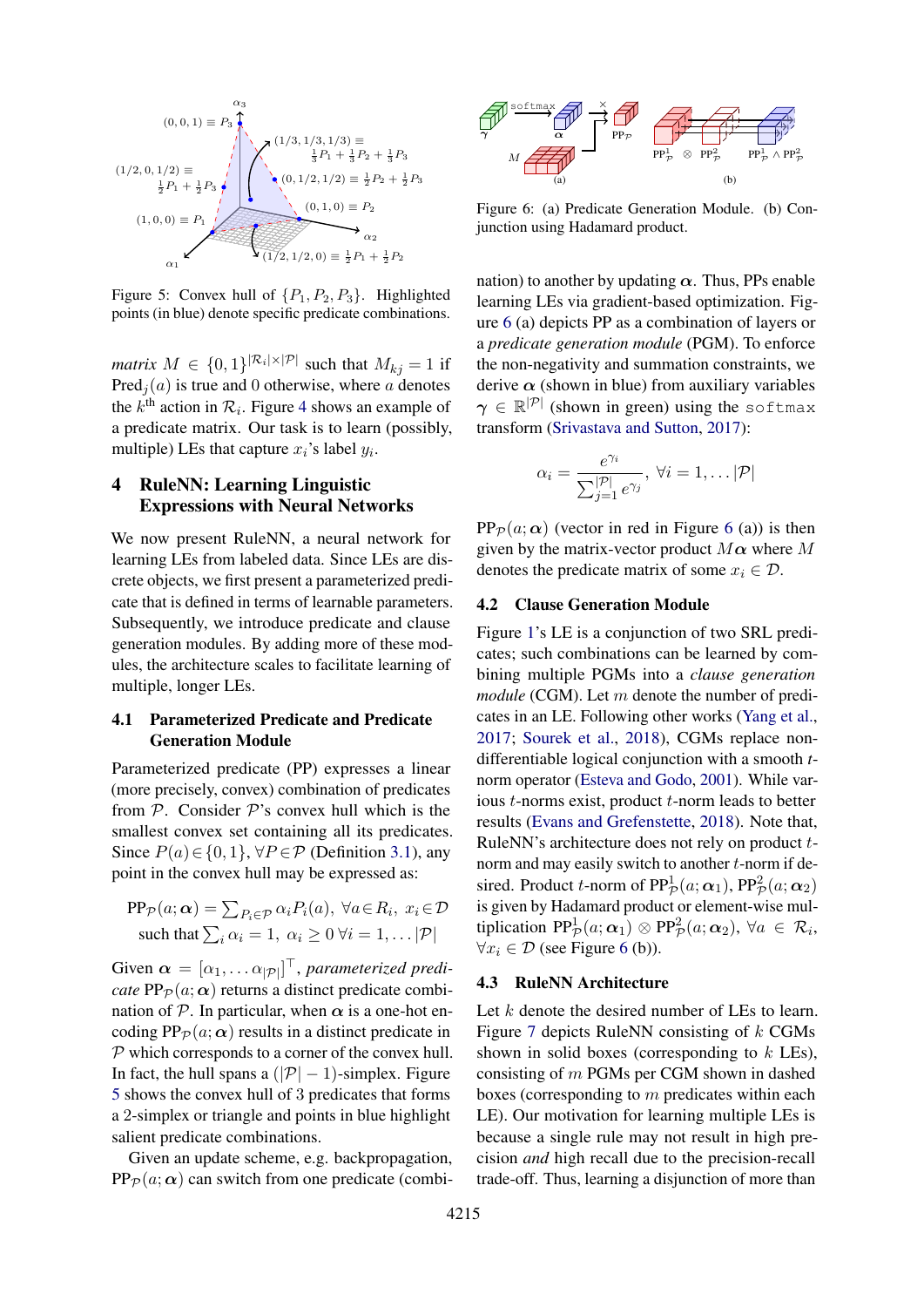<span id="page-4-1"></span>
$$
(0,0,1) \equiv P_3 \qquad \qquad \zeta
$$
\n
$$
(1/2,0,1/2) \equiv \frac{1}{2}P_1 + \frac{1}{2}P_3 \qquad \qquad \zeta
$$
\n
$$
(1,0,0) \equiv P_1 \qquad \qquad \zeta
$$
\n
$$
(1,0,0) \equiv P_2 \qquad \qquad \zeta
$$
\n
$$
\zeta
$$
\n
$$
\zeta
$$
\n
$$
(0,1/2,1/2) \equiv \frac{1}{2}P_2 + \frac{1}{2}P_3
$$
\n
$$
(0,1,0) \equiv P_2 \qquad \qquad \zeta
$$
\n
$$
\zeta
$$
\n
$$
\zeta
$$
\n
$$
\zeta
$$
\n
$$
\zeta
$$
\n
$$
\zeta
$$
\n
$$
\zeta
$$
\n
$$
\zeta
$$
\n
$$
\zeta
$$
\n
$$
\zeta
$$
\n
$$
\zeta
$$
\n
$$
\zeta
$$
\n
$$
\zeta
$$
\n
$$
\zeta
$$
\n
$$
\zeta
$$
\n
$$
\zeta
$$
\n
$$
\zeta
$$
\n
$$
\zeta
$$
\n
$$
\zeta
$$
\n
$$
\zeta
$$
\n
$$
\zeta
$$
\n
$$
\zeta
$$
\n
$$
\zeta
$$
\n
$$
\zeta
$$
\n
$$
\zeta
$$
\n
$$
\zeta
$$
\n
$$
\zeta
$$
\n
$$
\zeta
$$
\n
$$
\zeta
$$
\n
$$
\zeta
$$
\n
$$
\zeta
$$
\n
$$
\zeta
$$
\n
$$
\zeta
$$
\n
$$
\zeta
$$
\n
$$
\zeta
$$
\n
$$
\zeta
$$
\n
$$
\zeta
$$
\n
$$
\zeta
$$
\n
$$
\zeta
$$
\n
$$
\zeta
$$
\n
$$
\zeta
$$
\n
$$
\zeta
$$
\n
$$
\zeta
$$
\n
$$
\zeta
$$
\n
$$
\zeta
$$

Figure 5: Convex hull of  $\{P_1, P_2, P_3\}$ . Highlighted points (in blue) denote specific predicate combinations.

*matrix*  $M \in \{0,1\}^{|\mathcal{R}_i| \times |\mathcal{P}|}$  such that  $M_{kj} = 1$  if  $Pred<sub>i</sub>(a)$  is true and 0 otherwise, where a denotes the  $k^{\text{th}}$  action in  $\mathcal{R}_i$ . Figure [4](#page-3-4) shows an example of a predicate matrix. Our task is to learn (possibly, multiple) LEs that capture  $x_i$ 's label  $y_i$ .

# <span id="page-4-0"></span>4 RuleNN: Learning Linguistic Expressions with Neural Networks

We now present RuleNN, a neural network for learning LEs from labeled data. Since LEs are discrete objects, we first present a parameterized predicate that is defined in terms of learnable parameters. Subsequently, we introduce predicate and clause generation modules. By adding more of these modules, the architecture scales to facilitate learning of multiple, longer LEs.

# 4.1 Parameterized Predicate and Predicate Generation Module

Parameterized predicate (PP) expresses a linear (more precisely, convex) combination of predicates from  $P$ . Consider  $P$ 's convex hull which is the smallest convex set containing all its predicates. Since  $P(a) \in \{0, 1\}$ ,  $\forall P \in \mathcal{P}$  (Definition [3.1\)](#page-2-1), any point in the convex hull may be expressed as:

$$
\text{PP}_{\mathcal{P}}(a; \alpha) = \sum_{P_i \in \mathcal{P}} \alpha_i P_i(a), \ \forall a \in R_i, \ x_i \in \mathcal{D}
$$
\n
$$
\text{such that } \sum_i \alpha_i = 1, \ \alpha_i \ge 0 \ \forall i = 1, \dots |\mathcal{P}|
$$

Given  $\boldsymbol{\alpha} = [\alpha_1, \dots \alpha_{|\mathcal{P}|}]^\top$ , *parameterized predicate*  $PP_{\mathcal{P}}(a; \alpha)$  returns a distinct predicate combination of  $P$ . In particular, when  $\alpha$  is a one-hot encoding  $PP_{\mathcal{D}}(a; \alpha)$  results in a distinct predicate in  $P$  which corresponds to a corner of the convex hull. In fact, the hull spans a  $(|P|-1)$ -simplex. Figure [5](#page-4-1) shows the convex hull of 3 predicates that forms a 2-simplex or triangle and points in blue highlight salient predicate combinations.

Given an update scheme, e.g. backpropagation,  $PP_{\mathcal{P}}(a; \alpha)$  can switch from one predicate (combi-

<span id="page-4-2"></span>

Figure 6: (a) Predicate Generation Module. (b) Conjunction using Hadamard product.

nation) to another by updating  $\alpha$ . Thus, PPs enable learning LEs via gradient-based optimization. Figure [6](#page-4-2) (a) depicts PP as a combination of layers or a *predicate generation module* (PGM). To enforce the non-negativity and summation constraints, we derive  $\alpha$  (shown in blue) from auxiliary variables  $\gamma \, \in \, \mathbb{R}^{|\mathcal{P}|}$  (shown in green) using the softmax transform [\(Srivastava and Sutton,](#page-10-15) [2017\)](#page-10-15):

$$
\alpha_i = \frac{e^{\gamma_i}}{\sum_{j=1}^{|\mathcal{P}|} e^{\gamma_j}}, \ \forall i = 1, \dots |\mathcal{P}|
$$

 $PP_{\mathcal{P}}(a; \alpha)$  (vector in red in Figure [6](#page-4-2) (a)) is then given by the matrix-vector product  $M\alpha$  where M denotes the predicate matrix of some  $x_i \in \mathcal{D}$ .

# 4.2 Clause Generation Module

Figure [1'](#page-1-0)s LE is a conjunction of two SRL predicates; such combinations can be learned by combining multiple PGMs into a *clause generation module* (CGM). Let m denote the number of predicates in an LE. Following other works [\(Yang et al.,](#page-10-11) [2017;](#page-10-11) [Sourek et al.,](#page-10-12) [2018\)](#page-10-12), CGMs replace nondifferentiable logical conjunction with a smooth *t*norm operator [\(Esteva and Godo,](#page-9-22) [2001\)](#page-9-22). While various t-norms exist, product t-norm leads to better results [\(Evans and Grefenstette,](#page-9-7) [2018\)](#page-9-7). Note that, RuleNN's architecture does not rely on product tnorm and may easily switch to another t-norm if desired. Product *t*-norm of  $PP_{\mathcal{P}}^1(a; \alpha_1)$ ,  $PP_{\mathcal{P}}^2(a; \alpha_2)$ is given by Hadamard product or element-wise multiplication  $PP_{\mathcal{P}}^1(a; \alpha_1) \otimes PP_{\mathcal{P}}^2(a; \alpha_2), \forall a \in \mathcal{R}_i$ ,  $\forall x_i \in \mathcal{D}$  (see Figure [6](#page-4-2) (b)).

#### 4.3 RuleNN Architecture

Let  $k$  denote the desired number of LEs to learn. Figure [7](#page-5-1) depicts RuleNN consisting of k CGMs shown in solid boxes (corresponding to k LEs), consisting of m PGMs per CGM shown in dashed boxes (corresponding to m predicates within each LE). Our motivation for learning multiple LEs is because a single rule may not result in high precision *and* high recall due to the precision-recall trade-off. Thus, learning a disjunction of more than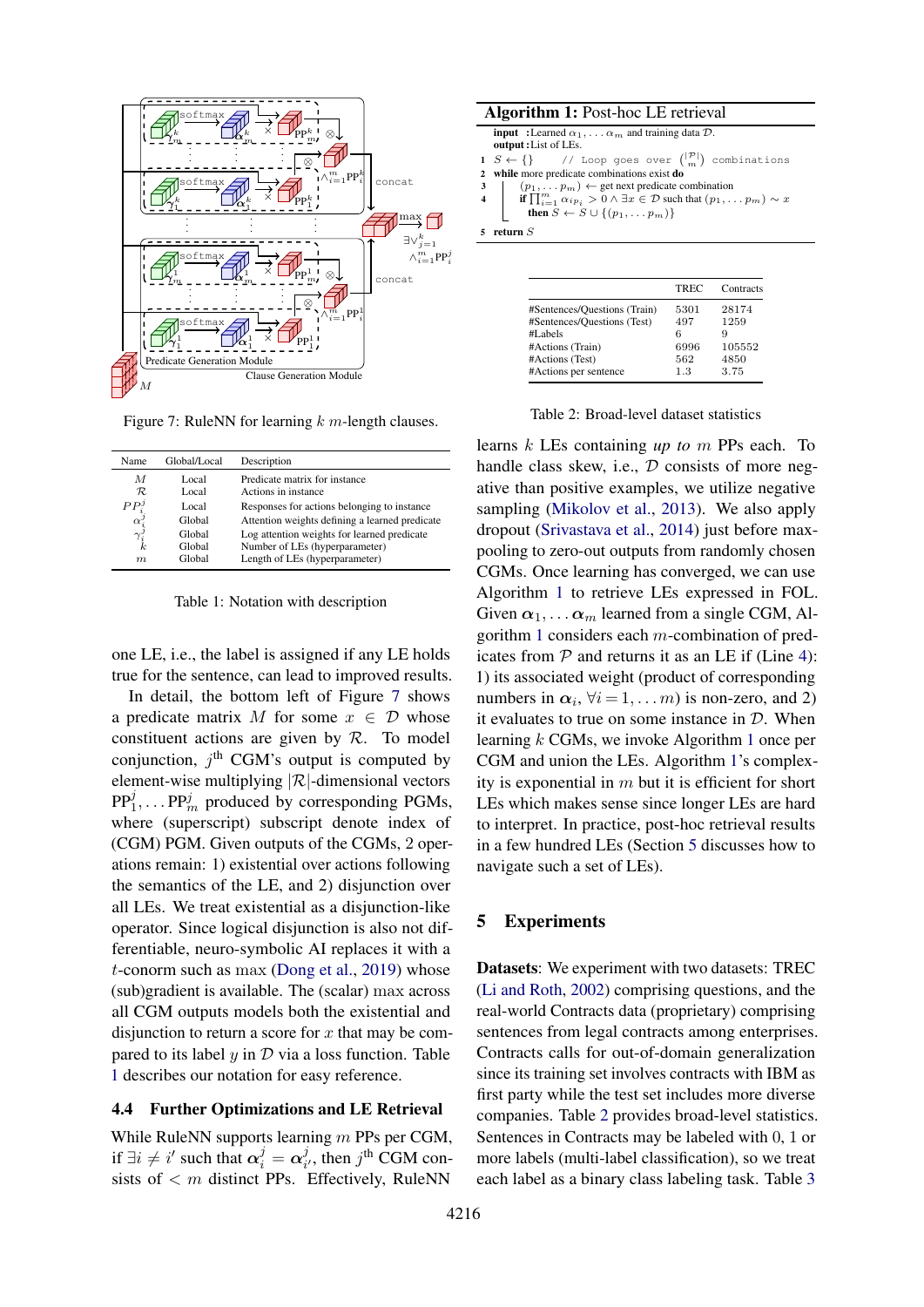<span id="page-5-1"></span>

Figure 7: RuleNN for learning  $k$  m-length clauses.

<span id="page-5-2"></span>

| Name                            | Global/Local   | Description                                          |
|---------------------------------|----------------|------------------------------------------------------|
| M<br>$\cal R$                   | Local<br>Local | Predicate matrix for instance<br>Actions in instance |
| $PP^{\jmath}_i$                 | Local          | Responses for actions belonging to instance          |
| $\alpha_{i}^{j} \gamma_{i}^{j}$ | Global         | Attention weights defining a learned predicate       |
|                                 | Global         | Log attention weights for learned predicate          |
|                                 | Global         | Number of LEs (hyperparameter)                       |
| m                               | Global         | Length of LEs (hyperparameter)                       |

Table 1: Notation with description

one LE, i.e., the label is assigned if any LE holds true for the sentence, can lead to improved results.

In detail, the bottom left of Figure [7](#page-5-1) shows a predicate matrix M for some  $x \in \mathcal{D}$  whose constituent actions are given by  $R$ . To model conjunction,  $j^{\text{th}}$  CGM's output is computed by element-wise multiplying  $|R|$ -dimensional vectors  $PP_1^j, \ldots PP_m^j$  produced by corresponding PGMs, where (superscript) subscript denote index of (CGM) PGM. Given outputs of the CGMs, 2 operations remain: 1) existential over actions following the semantics of the LE, and 2) disjunction over all LEs. We treat existential as a disjunction-like operator. Since logical disjunction is also not differentiable, neuro-symbolic AI replaces it with a t-conorm such as max [\(Dong et al.,](#page-9-14) [2019\)](#page-9-14) whose (sub)gradient is available. The (scalar) max across all CGM outputs models both the existential and disjunction to return a score for  $x$  that may be compared to its label  $y$  in  $D$  via a loss function. Table [1](#page-5-2) describes our notation for easy reference.

### 4.4 Further Optimizations and LE Retrieval

While RuleNN supports learning m PPs per CGM, if  $\exists i \neq i'$  such that  $\alpha_i^j = \alpha_i^j$  $j_i^j$ , then  $j^{\text{th}}$  CGM consists of  $\lt m$  distinct PPs. Effectively, RuleNN

| <b>input</b> : Learned $\alpha_1, \ldots, \alpha_m$ and training data $\mathcal{D}$ .<br>output: List of LEs.                                                                                                                                                                                                                                        |
|------------------------------------------------------------------------------------------------------------------------------------------------------------------------------------------------------------------------------------------------------------------------------------------------------------------------------------------------------|
| 1 $S \leftarrow \{\}$ // Loop goes over $\binom{ \mathcal{P} }{m}$ combinations                                                                                                                                                                                                                                                                      |
| 2 while more predicate combinations exist do                                                                                                                                                                                                                                                                                                         |
| $(p_1, \ldots, p_m) \leftarrow$ get next predicate combination                                                                                                                                                                                                                                                                                       |
|                                                                                                                                                                                                                                                                                                                                                      |
| 3<br>$\left\{\n\begin{array}{c}\n(p_1, \ldots p_m) \leftarrow \text{get heat prctance count} \\ \text{if } \prod_{i=1}^m \alpha_{ip_i} > 0 \land \exists x \in \mathcal{D} \text{ such that } (p_1, \ldots p_m) \sim x \\ \vdots \\ \alpha \in \{1, 1, 1, \ldots, n_m\}\n\end{array}\n\right\}$<br>then $S \leftarrow S \cup \{(p_1, \ldots p_m)\}\$ |
| 5 return $S$                                                                                                                                                                                                                                                                                                                                         |

<span id="page-5-5"></span><span id="page-5-4"></span><span id="page-5-3"></span>

| TREC | Contracts |
|------|-----------|
| 5301 | 28174     |
| 497  | 1259      |
| 6    | 9         |
| 6996 | 105552    |
| 562  | 4850      |
| 1.3  | 3.75      |
|      |           |

|  | Table 2: Broad-level dataset statistics |  |  |
|--|-----------------------------------------|--|--|
|--|-----------------------------------------|--|--|

learns k LEs containing *up to* m PPs each. To handle class skew, i.e.,  $D$  consists of more negative than positive examples, we utilize negative sampling [\(Mikolov et al.,](#page-10-16) [2013\)](#page-10-16). We also apply dropout [\(Srivastava et al.,](#page-10-17) [2014\)](#page-10-17) just before maxpooling to zero-out outputs from randomly chosen CGMs. Once learning has converged, we can use Algorithm [1](#page-5-3) to retrieve LEs expressed in FOL. Given  $\alpha_1, \ldots \alpha_m$  learned from a single CGM, Algorithm [1](#page-5-3) considers each m-combination of predicates from  $P$  and returns it as an LE if (Line [4\)](#page-5-4): 1) its associated weight (product of corresponding numbers in  $\alpha_i$ ,  $\forall i = 1, \dots m$  is non-zero, and 2) it evaluates to true on some instance in  $D$ . When learning k CGMs, we invoke Algorithm [1](#page-5-3) once per CGM and union the LEs. Algorithm [1'](#page-5-3)s complexity is exponential in  $m$  but it is efficient for short LEs which makes sense since longer LEs are hard to interpret. In practice, post-hoc retrieval results in a few hundred LEs (Section [5](#page-5-0) discusses how to navigate such a set of LEs).

# <span id="page-5-0"></span>5 Experiments

Datasets: We experiment with two datasets: TREC [\(Li and Roth,](#page-10-18) [2002\)](#page-10-18) comprising questions, and the real-world Contracts data (proprietary) comprising sentences from legal contracts among enterprises. Contracts calls for out-of-domain generalization since its training set involves contracts with IBM as first party while the test set includes more diverse companies. Table [2](#page-5-5) provides broad-level statistics. Sentences in Contracts may be labeled with 0, 1 or more labels (multi-label classification), so we treat each label as a binary class labeling task. Table [3](#page-6-0)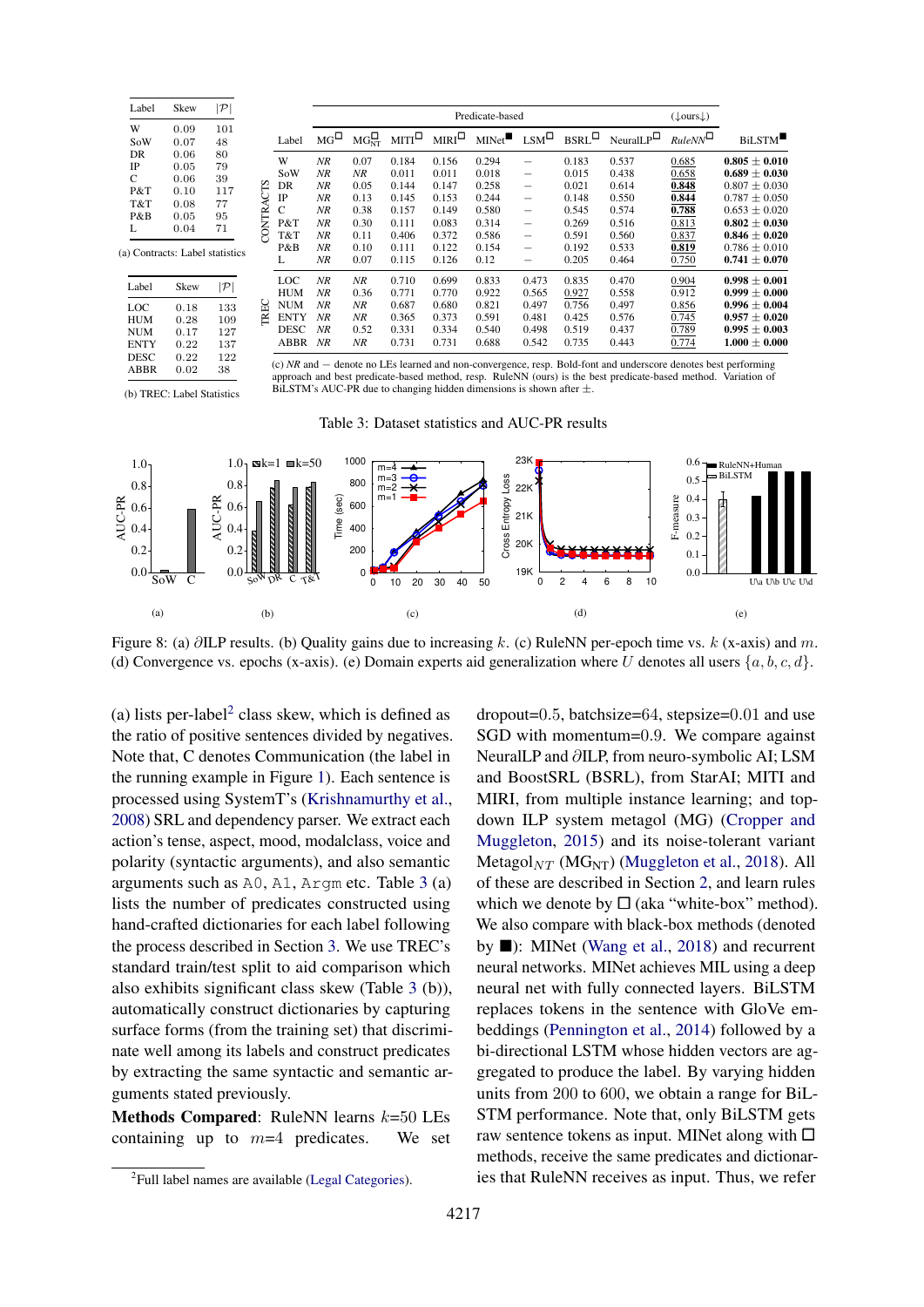<span id="page-6-0"></span>

| Label     | Skew |     |
|-----------|------|-----|
| W         | 0.09 | 101 |
| SoW       | 0.07 | 48  |
| DR.       | 0.06 | 80  |
| <b>IP</b> | 0.05 | 79  |
| C         | 0.06 | 39  |
| P&T       | 0.10 | 117 |
| T&T       | 0.08 | 77  |
| P&B       | 0.05 | 95  |
| L         | 0.04 | 71  |

| Label       | Skew | $ \mathcal{P} $ |
|-------------|------|-----------------|
| LOC         | 0.18 | 133             |
| <b>HUM</b>  | 0.28 | 109             |
| <b>NUM</b>  | 0.17 | 127             |
| <b>ENTY</b> | 0.22 | 137             |
| <b>DESC</b> | 0.22 | 122             |
| ABBR        | 0.02 | 38              |

|           |             |             |           |              |               | Predicate-based |                          |                  |                      | $(\downarrow \text{ours} \downarrow)$ |                   |
|-----------|-------------|-------------|-----------|--------------|---------------|-----------------|--------------------------|------------------|----------------------|---------------------------------------|-------------------|
|           | Label       | $MG^{\Box}$ | $MG_{NT}$ | $MTI^{\Box}$ | $MIRI^{\Box}$ | MINet           | $LSM^{\square}$          | $BSRL^{\square}$ | $NeuralLP^{\square}$ | $RuleNN^{\square}$                    | <b>BiLSTM</b>     |
|           | W           | NR          | 0.07      | 0.184        | 0.156         | 0.294           | $\overline{\phantom{0}}$ | 0.183            | 0.537                | 0.685                                 | $0.805 \pm 0.010$ |
|           | SoW         | NR          | NR        | 0.011        | 0.011         | 0.018           | $\qquad \qquad -$        | 0.015            | 0.438                | 0.658                                 | $0.689 \pm 0.030$ |
|           | DR          | NR          | 0.05      | 0.144        | 0.147         | 0.258           |                          | 0.021            | 0.614                | 0.848                                 | $0.807 \pm 0.030$ |
|           | $_{\rm IP}$ | NR          | 0.13      | 0.145        | 0.153         | 0.244           |                          | 0.148            | 0.550                | 0.844                                 | $0.787 \pm 0.050$ |
|           | C           | NR          | 0.38      | 0.157        | 0.149         | 0.580           |                          | 0.545            | 0.574                | 0.788                                 | $0.653 \pm 0.020$ |
| CONTRACTS | P&T         | NR          | 0.30      | 0.111        | 0.083         | 0.314           | $\overline{\phantom{0}}$ | 0.269            | 0.516                | 0.813                                 | $0.802 \pm 0.030$ |
|           | T&T         | NR          | 0.11      | 0.406        | 0.372         | 0.586           | $\overline{\phantom{0}}$ | 0.591            | 0.560                | 0.837                                 | $0.846 \pm 0.020$ |
|           | P&B         | NR          | 0.10      | 0.111        | 0.122         | 0.154           |                          | 0.192            | 0.533                | 0.819                                 | $0.786 \pm 0.010$ |
|           | L           | NR          | 0.07      | 0.115        | 0.126         | 0.12            |                          | 0.205            | 0.464                | 0.750                                 | $0.741 \pm 0.070$ |
|           | LOC         | NR          | NR        | 0.710        | 0.699         | 0.833           | 0.473                    | 0.835            | 0.470                | 0.904                                 | $0.998 \pm 0.001$ |
|           | <b>HUM</b>  | NR          | 0.36      | 0.771        | 0.770         | 0.922           | 0.565                    | 0.927            | 0.558                | 0.912                                 | $0.999 \pm 0.000$ |
| TREC      | <b>NUM</b>  | NR          | NR        | 0.687        | 0.680         | 0.821           | 0.497                    | 0.756            | 0.497                | 0.856                                 | $0.996 \pm 0.004$ |
|           | <b>ENTY</b> | NR          | NR        | 0.365        | 0.373         | 0.591           | 0.481                    | 0.425            | 0.576                | 0.745                                 | $0.957 \pm 0.020$ |
|           | <b>DESC</b> | NR          | 0.52      | 0.331        | 0.334         | 0.540           | 0.498                    | 0.519            | 0.437                | 0.789                                 | $0.995 \pm 0.003$ |
|           | ABBR        | NR          | NR        | 0.731        | 0.731         | 0.688           | 0.542                    | 0.735            | 0.443                | 0.774                                 | $1.000\pm0.000$   |

(c) *NR* and − denote no LEs learned and non-convergence, resp. Bold-font and underscore denotes best performing approach and best predicate-based method, resp. RuleNN (ours) is the best predicate-based method. Variation of BiLSTM's AUC-PR due to changing hidden dimensions is shown after ±.

(b) TREC: Label Statistics



<span id="page-6-2"></span>

Figure 8: (a) ∂ILP results. (b) Quality gains due to increasing k. (c) RuleNN per-epoch time vs. k (x-axis) and m. (d) Convergence vs. epochs (x-axis). (e) Domain experts aid generalization where U denotes all users  $\{a, b, c, d\}$ .

(a) lists per-label<sup>[2](#page-6-1)</sup> class skew, which is defined as the ratio of positive sentences divided by negatives. Note that, C denotes Communication (the label in the running example in Figure [1\)](#page-1-0). Each sentence is processed using SystemT's [\(Krishnamurthy et al.,](#page-9-23) [2008\)](#page-9-23) SRL and dependency parser. We extract each action's tense, aspect, mood, modalclass, voice and polarity (syntactic arguments), and also semantic arguments such as A0, A1, Argm etc. Table [3](#page-6-0) (a) lists the number of predicates constructed using hand-crafted dictionaries for each label following the process described in Section [3.](#page-2-2) We use TREC's standard train/test split to aid comparison which also exhibits significant class skew (Table [3](#page-6-0) (b)), automatically construct dictionaries by capturing surface forms (from the training set) that discriminate well among its labels and construct predicates by extracting the same syntactic and semantic arguments stated previously.

Methods Compared: RuleNN learns  $k=50$  LEs containing up to  $m=4$  predicates. We set

dropout=0.5, batchsize=64, stepsize=0.01 and use SGD with momentum=0.9. We compare against NeuralLP and ∂ILP, from neuro-symbolic AI; LSM and BoostSRL (BSRL), from StarAI; MITI and MIRI, from multiple instance learning; and topdown ILP system metagol (MG) [\(Cropper and](#page-9-10) [Muggleton,](#page-9-10) [2015\)](#page-9-10) and its noise-tolerant variant Metagol $_{NT}$  (MG<sub>NT</sub>) [\(Muggleton et al.,](#page-10-8) [2018\)](#page-10-8). All of these are described in Section [2,](#page-1-2) and learn rules which we denote by  $\Box$  (aka "white-box" method). We also compare with black-box methods (denoted by  $\blacksquare$ ): MINet [\(Wang et al.,](#page-10-19) [2018\)](#page-10-19) and recurrent neural networks. MINet achieves MIL using a deep neural net with fully connected layers. BiLSTM replaces tokens in the sentence with GloVe embeddings [\(Pennington et al.,](#page-10-6) [2014\)](#page-10-6) followed by a bi-directional LSTM whose hidden vectors are aggregated to produce the label. By varying hidden units from 200 to 600, we obtain a range for BiL-STM performance. Note that, only BiLSTM gets raw sentence tokens as input. MINet along with  $\square$ methods, receive the same predicates and dictionaries that RuleNN receives as input. Thus, we refer

<span id="page-6-1"></span><sup>&</sup>lt;sup>2</sup> Full label names are available [\(Legal Categories\)](#page-9-24).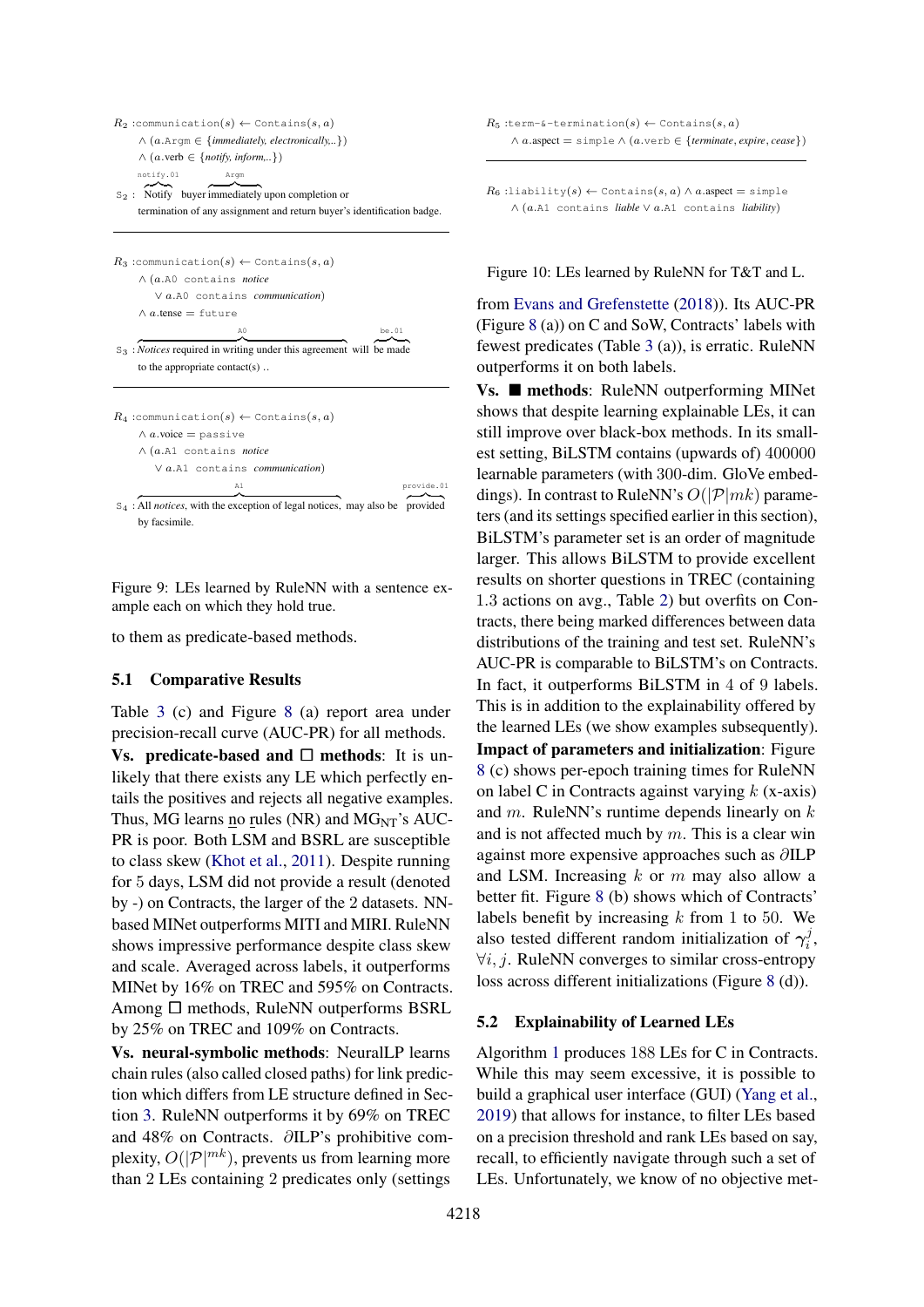<span id="page-7-0"></span>

| $R_2$ :communication(s) $\leftarrow$ Contains(s,a)                                     |
|----------------------------------------------------------------------------------------|
| $\wedge$ (a.Arqm $\in$ { <i>immediately, electronically,</i> })                        |
| $\wedge$ (a.verb $\in$ {notify, inform,})                                              |
| notify.01<br>Argm                                                                      |
| $s_2$ : Notify buyer immediately upon completion or                                    |
| termination of any assignment and return buyer's identification badge.                 |
|                                                                                        |
| $R_3$ :communication(s) $\leftarrow$ Contains(s,a)                                     |
| $\wedge$ (a.A0 contains <i>notice</i>                                                  |
| $\vee$ a.A0 contains <i>communication</i> )                                            |
| $\wedge$ a.tense = future                                                              |
| be.01<br>A0                                                                            |
| $S_3$ : Notices required in writing under this agreement will be made                  |
| to the appropriate contact(s)                                                          |
|                                                                                        |
| $R_4$ :communication(s) $\leftarrow$ Contains(s,a)                                     |
| $\wedge$ <i>a</i> .voice = passive                                                     |
| $\wedge$ (a.A1 contains <i>notice</i>                                                  |
| $\vee$ a.A1 contains <i>communication</i> )                                            |
| provide.01<br>A1                                                                       |
| $S_4$ : All <i>notices</i> , with the exception of legal notices, may also be provided |
| by facsimile.                                                                          |

Figure 9: LEs learned by RuleNN with a sentence example each on which they hold true.

to them as predicate-based methods.

# 5.1 Comparative Results

Table [3](#page-6-0) (c) and Figure [8](#page-6-2) (a) report area under precision-recall curve (AUC-PR) for all methods. Vs. predicate-based and  $\square$  methods: It is unlikely that there exists any LE which perfectly entails the positives and rejects all negative examples. Thus, MG learns no rules (NR) and  $MG<sub>NT</sub>$ 's AUC-PR is poor. Both LSM and BSRL are susceptible to class skew [\(Khot et al.,](#page-9-12) [2011\)](#page-9-12). Despite running for 5 days, LSM did not provide a result (denoted by -) on Contracts, the larger of the 2 datasets. NNbased MINet outperforms MITI and MIRI. RuleNN shows impressive performance despite class skew and scale. Averaged across labels, it outperforms MINet by 16% on TREC and 595% on Contracts. Among  $\Box$  methods, RuleNN outperforms BSRL by 25% on TREC and 109% on Contracts.

Vs. neural-symbolic methods: NeuralLP learns chain rules (also called closed paths) for link prediction which differs from LE structure defined in Section [3.](#page-2-2) RuleNN outperforms it by 69% on TREC and 48% on Contracts. ∂ILP's prohibitive complexity,  $O(|\mathcal{P}|^{mk})$ , prevents us from learning more than 2 LEs containing 2 predicates only (settings

<span id="page-7-1"></span>

| $R_5$ :term-&-termination(s) $\leftarrow$ Contains(s, a)                    |
|-----------------------------------------------------------------------------|
| $\land$ a.aspect = simple $\land$ (a.verb $\in$ {terminate, expire, cease}) |

 $R_6$ :liability(s) ← Contains(s, a)  $\land$  a.aspect = simple ∧ (a.A1 contains *liable* ∨ a.A1 contains *liability*)

#### Figure 10: LEs learned by RuleNN for T&T and L.

from [Evans and Grefenstette](#page-9-7) [\(2018\)](#page-9-7)). Its AUC-PR (Figure [8](#page-6-2) (a)) on C and SoW, Contracts' labels with fewest predicates (Table [3](#page-6-0) (a)), is erratic. RuleNN outperforms it on both labels.

Vs. ■ methods: RuleNN outperforming MINet shows that despite learning explainable LEs, it can still improve over black-box methods. In its smallest setting, BiLSTM contains (upwards of) 400000 learnable parameters (with 300-dim. GloVe embeddings). In contrast to RuleNN's  $O(|\mathcal{P}|mk)$  parameters (and its settings specified earlier in this section), BiLSTM's parameter set is an order of magnitude larger. This allows BiLSTM to provide excellent results on shorter questions in TREC (containing 1.3 actions on avg., Table [2\)](#page-5-5) but overfits on Contracts, there being marked differences between data distributions of the training and test set. RuleNN's AUC-PR is comparable to BiLSTM's on Contracts. In fact, it outperforms BiLSTM in 4 of 9 labels. This is in addition to the explainability offered by the learned LEs (we show examples subsequently). Impact of parameters and initialization: Figure [8](#page-6-2) (c) shows per-epoch training times for RuleNN on label C in Contracts against varying  $k$  (x-axis) and  $m$ . RuleNN's runtime depends linearly on  $k$ and is not affected much by  $m$ . This is a clear win against more expensive approaches such as ∂ILP and LSM. Increasing  $k$  or  $m$  may also allow a better fit. Figure [8](#page-6-2) (b) shows which of Contracts' labels benefit by increasing  $k$  from 1 to 50. We also tested different random initialization of  $\gamma_i^j$  $\frac{j}{i}$  $\forall i, j$ . RuleNN converges to similar cross-entropy loss across different initializations (Figure [8](#page-6-2) (d)).

#### 5.2 Explainability of Learned LEs

Algorithm [1](#page-5-3) produces 188 LEs for C in Contracts. While this may seem excessive, it is possible to build a graphical user interface (GUI) [\(Yang et al.,](#page-10-20) [2019\)](#page-10-20) that allows for instance, to filter LEs based on a precision threshold and rank LEs based on say, recall, to efficiently navigate through such a set of LEs. Unfortunately, we know of no objective met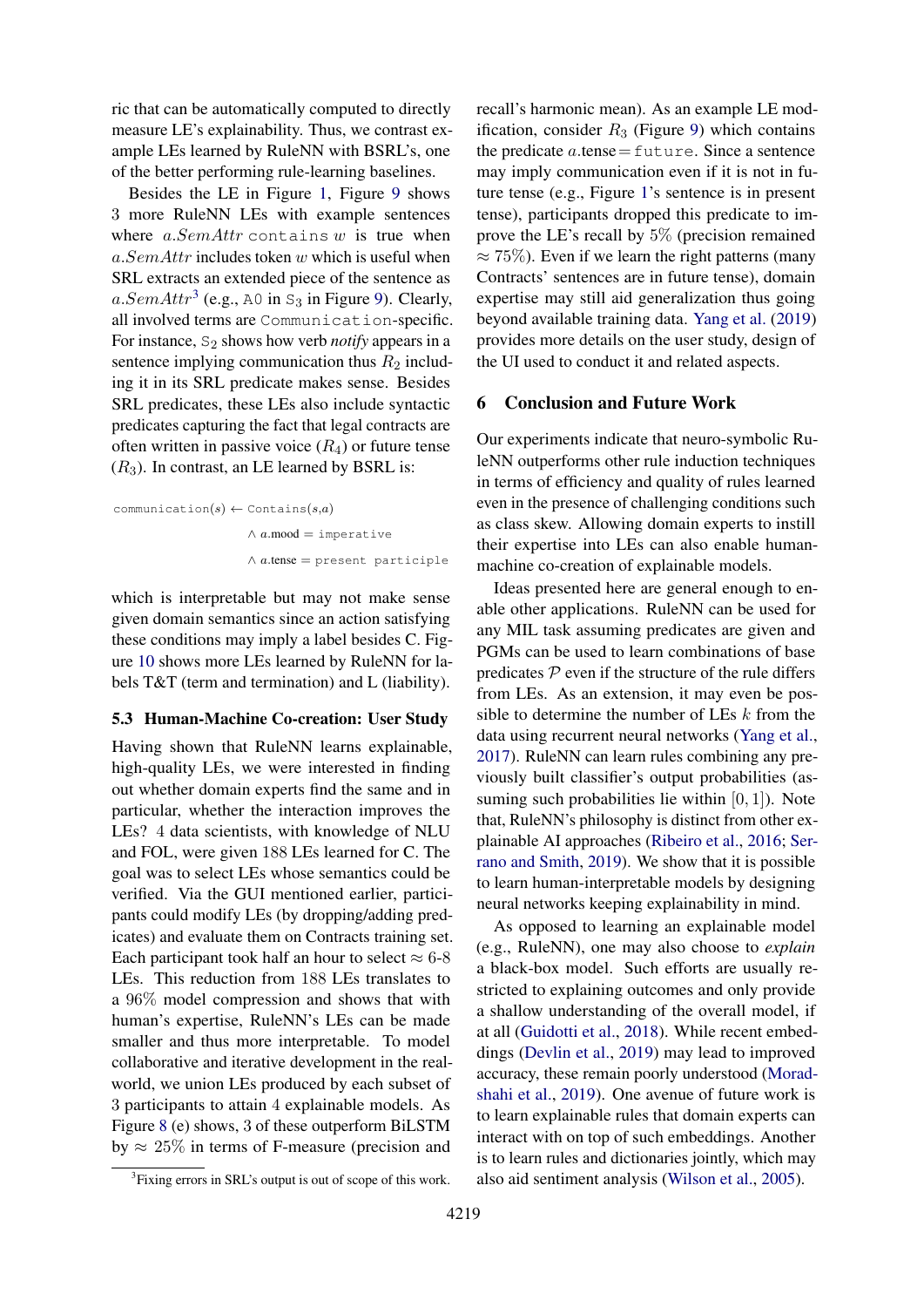ric that can be automatically computed to directly measure LE's explainability. Thus, we contrast example LEs learned by RuleNN with BSRL's, one of the better performing rule-learning baselines.

Besides the LE in Figure [1,](#page-1-0) Figure [9](#page-7-0) shows 3 more RuleNN LEs with example sentences where  $a. SemAttr$  contains w is true when a. SemAttr includes token w which is useful when SRL extracts an extended piece of the sentence as a. SemAttr<sup>[3](#page-8-0)</sup> (e.g., A0 in  $S_3$  in Figure [9\)](#page-7-0). Clearly, all involved terms are Communication-specific. For instance, S<sub>2</sub> shows how verb *notify* appears in a sentence implying communication thus  $R_2$  including it in its SRL predicate makes sense. Besides SRL predicates, these LEs also include syntactic predicates capturing the fact that legal contracts are often written in passive voice  $(R_4)$  or future tense  $(R<sub>3</sub>)$ . In contrast, an LE learned by BSRL is:

```
communication(s) \leftarrow Contains(s,a)
                        \land a.mood = imperative
                        \land a.tense = present participle
```
which is interpretable but may not make sense given domain semantics since an action satisfying these conditions may imply a label besides C. Figure [10](#page-7-1) shows more LEs learned by RuleNN for labels T&T (term and termination) and L (liability).

#### 5.3 Human-Machine Co-creation: User Study

Having shown that RuleNN learns explainable, high-quality LEs, we were interested in finding out whether domain experts find the same and in particular, whether the interaction improves the LEs? 4 data scientists, with knowledge of NLU and FOL, were given 188 LEs learned for C. The goal was to select LEs whose semantics could be verified. Via the GUI mentioned earlier, participants could modify LEs (by dropping/adding predicates) and evaluate them on Contracts training set. Each participant took half an hour to select  $\approx 6-8$ LEs. This reduction from 188 LEs translates to a 96% model compression and shows that with human's expertise, RuleNN's LEs can be made smaller and thus more interpretable. To model collaborative and iterative development in the realworld, we union LEs produced by each subset of 3 participants to attain 4 explainable models. As Figure [8](#page-6-2) (e) shows, 3 of these outperform BiLSTM by  $\approx 25\%$  in terms of F-measure (precision and recall's harmonic mean). As an example LE modification, consider  $R_3$  (Figure [9\)](#page-7-0) which contains the predicate  $a$  tense = future. Since a sentence may imply communication even if it is not in future tense (e.g., Figure [1'](#page-1-0)s sentence is in present tense), participants dropped this predicate to improve the LE's recall by 5% (precision remained  $\approx$  75%). Even if we learn the right patterns (many Contracts' sentences are in future tense), domain expertise may still aid generalization thus going beyond available training data. [Yang et al.](#page-10-20) [\(2019\)](#page-10-20) provides more details on the user study, design of the UI used to conduct it and related aspects.

# 6 Conclusion and Future Work

Our experiments indicate that neuro-symbolic RuleNN outperforms other rule induction techniques in terms of efficiency and quality of rules learned even in the presence of challenging conditions such as class skew. Allowing domain experts to instill their expertise into LEs can also enable humanmachine co-creation of explainable models.

Ideas presented here are general enough to enable other applications. RuleNN can be used for any MIL task assuming predicates are given and PGMs can be used to learn combinations of base predicates  $P$  even if the structure of the rule differs from LEs. As an extension, it may even be possible to determine the number of LEs  $k$  from the data using recurrent neural networks [\(Yang et al.,](#page-10-11) [2017\)](#page-10-11). RuleNN can learn rules combining any previously built classifier's output probabilities (assuming such probabilities lie within  $[0, 1]$ ). Note that, RuleNN's philosophy is distinct from other explainable AI approaches [\(Ribeiro et al.,](#page-10-1) [2016;](#page-10-1) [Ser](#page-10-2)[rano and Smith,](#page-10-2) [2019\)](#page-10-2). We show that it is possible to learn human-interpretable models by designing neural networks keeping explainability in mind.

As opposed to learning an explainable model (e.g., RuleNN), one may also choose to *explain* a black-box model. Such efforts are usually restricted to explaining outcomes and only provide a shallow understanding of the overall model, if at all [\(Guidotti et al.,](#page-9-2) [2018\)](#page-9-2). While recent embeddings [\(Devlin et al.,](#page-9-25) [2019\)](#page-9-25) may lead to improved accuracy, these remain poorly understood [\(Morad](#page-10-21)[shahi et al.,](#page-10-21) [2019\)](#page-10-21). One avenue of future work is to learn explainable rules that domain experts can interact with on top of such embeddings. Another is to learn rules and dictionaries jointly, which may also aid sentiment analysis [\(Wilson et al.,](#page-10-22) [2005\)](#page-10-22).

<span id="page-8-0"></span><sup>&</sup>lt;sup>3</sup> Fixing errors in SRL's output is out of scope of this work.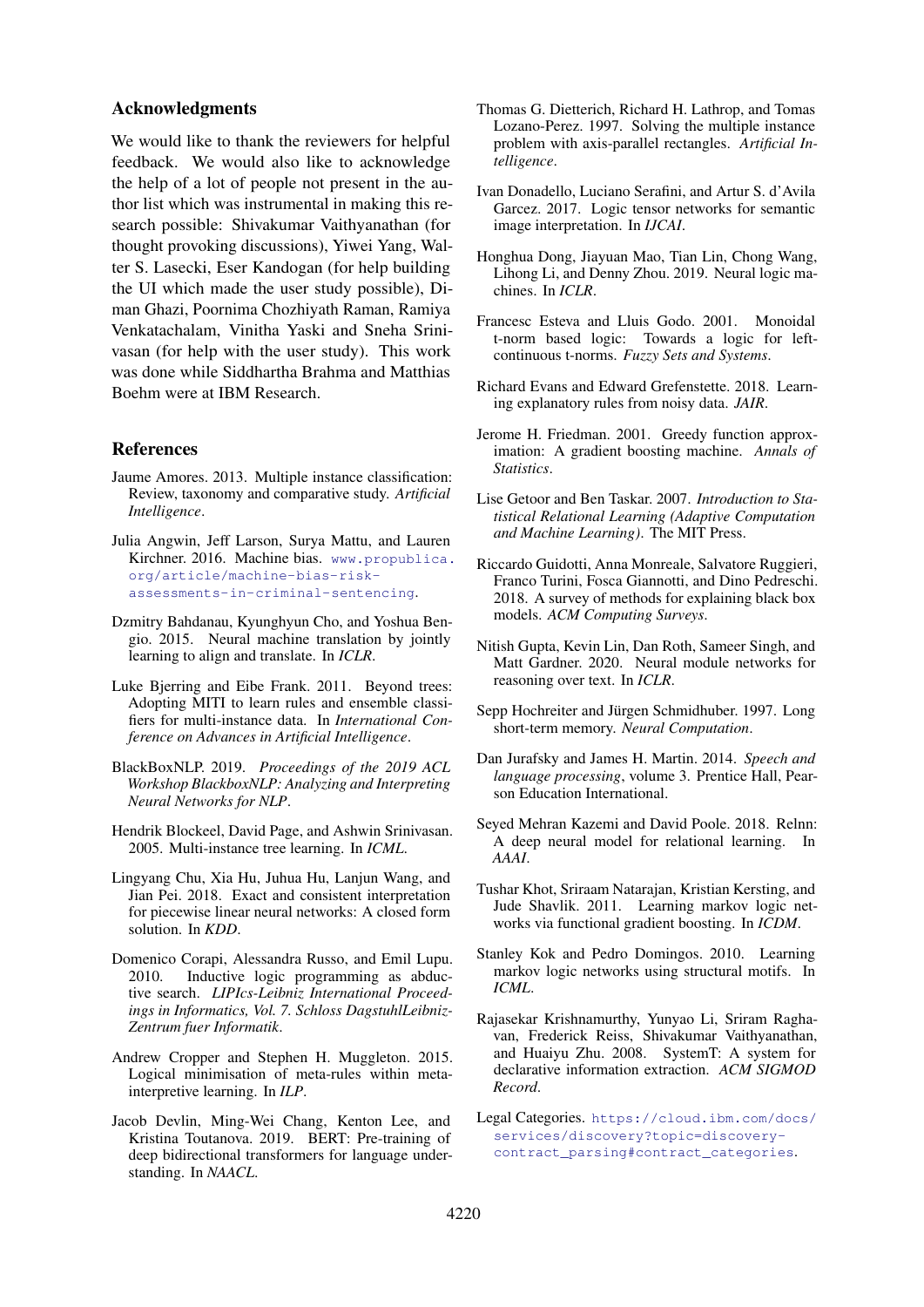# Acknowledgments

We would like to thank the reviewers for helpful feedback. We would also like to acknowledge the help of a lot of people not present in the author list which was instrumental in making this research possible: Shivakumar Vaithyanathan (for thought provoking discussions), Yiwei Yang, Walter S. Lasecki, Eser Kandogan (for help building the UI which made the user study possible), Diman Ghazi, Poornima Chozhiyath Raman, Ramiya Venkatachalam, Vinitha Yaski and Sneha Srinivasan (for help with the user study). This work was done while Siddhartha Brahma and Matthias Boehm were at IBM Research.

# References

- <span id="page-9-18"></span>Jaume Amores. 2013. Multiple instance classification: Review, taxonomy and comparative study. *Artificial Intelligence*.
- <span id="page-9-0"></span>Julia Angwin, Jeff Larson, Surya Mattu, and Lauren Kirchner. 2016. Machine bias. [www.propublica.](www.propublica.org/article/machine-bias-risk-assessments-in-criminal-sentencing) [org/article/machine-bias-risk](www.propublica.org/article/machine-bias-risk-assessments-in-criminal-sentencing)[assessments-in-criminal-sentencing](www.propublica.org/article/machine-bias-risk-assessments-in-criminal-sentencing).
- <span id="page-9-3"></span>Dzmitry Bahdanau, Kyunghyun Cho, and Yoshua Bengio. 2015. Neural machine translation by jointly learning to align and translate. In *ICLR*.
- <span id="page-9-19"></span>Luke Bjerring and Eibe Frank. 2011. Beyond trees: Adopting MITI to learn rules and ensemble classifiers for multi-instance data. In *International Conference on Advances in Artificial Intelligence*.
- <span id="page-9-1"></span>BlackBoxNLP. 2019. *Proceedings of the 2019 ACL Workshop BlackboxNLP: Analyzing and Interpreting Neural Networks for NLP*.
- <span id="page-9-20"></span>Hendrik Blockeel, David Page, and Ashwin Srinivasan. 2005. Multi-instance tree learning. In *ICML*.
- <span id="page-9-4"></span>Lingyang Chu, Xia Hu, Juhua Hu, Lanjun Wang, and Jian Pei. 2018. Exact and consistent interpretation for piecewise linear neural networks: A closed form solution. In *KDD*.
- <span id="page-9-9"></span>Domenico Corapi, Alessandra Russo, and Emil Lupu. 2010. Inductive logic programming as abductive search. *LIPIcs-Leibniz International Proceedings in Informatics, Vol. 7. Schloss DagstuhlLeibniz-Zentrum fuer Informatik*.
- <span id="page-9-10"></span>Andrew Cropper and Stephen H. Muggleton. 2015. Logical minimisation of meta-rules within metainterpretive learning. In *ILP*.
- <span id="page-9-25"></span>Jacob Devlin, Ming-Wei Chang, Kenton Lee, and Kristina Toutanova. 2019. BERT: Pre-training of deep bidirectional transformers for language understanding. In *NAACL*.
- <span id="page-9-17"></span>Thomas G. Dietterich, Richard H. Lathrop, and Tomas Lozano-Perez. 1997. Solving the multiple instance problem with axis-parallel rectangles. *Artificial Intelligence*.
- <span id="page-9-5"></span>Ivan Donadello, Luciano Serafini, and Artur S. d'Avila Garcez. 2017. Logic tensor networks for semantic image interpretation. In *IJCAI*.
- <span id="page-9-14"></span>Honghua Dong, Jiayuan Mao, Tian Lin, Chong Wang, Lihong Li, and Denny Zhou. 2019. Neural logic machines. In *ICLR*.
- <span id="page-9-22"></span>Francesc Esteva and Lluis Godo. 2001. Monoidal t-norm based logic: Towards a logic for leftcontinuous t-norms. *Fuzzy Sets and Systems*.
- <span id="page-9-7"></span>Richard Evans and Edward Grefenstette. 2018. Learning explanatory rules from noisy data. *JAIR*.
- <span id="page-9-13"></span>Jerome H. Friedman. 2001. Greedy function approximation: A gradient boosting machine. *Annals of Statistics*.
- <span id="page-9-6"></span>Lise Getoor and Ben Taskar. 2007. *Introduction to Statistical Relational Learning (Adaptive Computation and Machine Learning)*. The MIT Press.
- <span id="page-9-2"></span>Riccardo Guidotti, Anna Monreale, Salvatore Ruggieri, Franco Turini, Fosca Giannotti, and Dino Pedreschi. 2018. A survey of methods for explaining black box models. *ACM Computing Surveys*.
- <span id="page-9-16"></span>Nitish Gupta, Kevin Lin, Dan Roth, Sameer Singh, and Matt Gardner. 2020. Neural module networks for reasoning over text. In *ICLR*.
- <span id="page-9-8"></span>Sepp Hochreiter and Jürgen Schmidhuber. 1997. Long short-term memory. *Neural Computation*.
- <span id="page-9-21"></span>Dan Jurafsky and James H. Martin. 2014. *Speech and language processing*, volume 3. Prentice Hall, Pearson Education International.
- <span id="page-9-15"></span>Seyed Mehran Kazemi and David Poole. 2018. Relnn: A deep neural model for relational learning. In *AAAI*.
- <span id="page-9-12"></span>Tushar Khot, Sriraam Natarajan, Kristian Kersting, and Jude Shavlik. 2011. Learning markov logic networks via functional gradient boosting. In *ICDM*.
- <span id="page-9-11"></span>Stanley Kok and Pedro Domingos. 2010. Learning markov logic networks using structural motifs. In *ICML*.
- <span id="page-9-23"></span>Rajasekar Krishnamurthy, Yunyao Li, Sriram Raghavan, Frederick Reiss, Shivakumar Vaithyanathan, and Huaiyu Zhu. 2008. SystemT: A system for declarative information extraction. *ACM SIGMOD Record*.
- <span id="page-9-24"></span>Legal Categories. [https://cloud.ibm.com/docs/](https://cloud.ibm.com/docs/services/discovery?topic=discovery-contract_parsing#contract_categories) [services/discovery?topic=discovery](https://cloud.ibm.com/docs/services/discovery?topic=discovery-contract_parsing#contract_categories)[contract\\_parsing#contract\\_categories](https://cloud.ibm.com/docs/services/discovery?topic=discovery-contract_parsing#contract_categories).